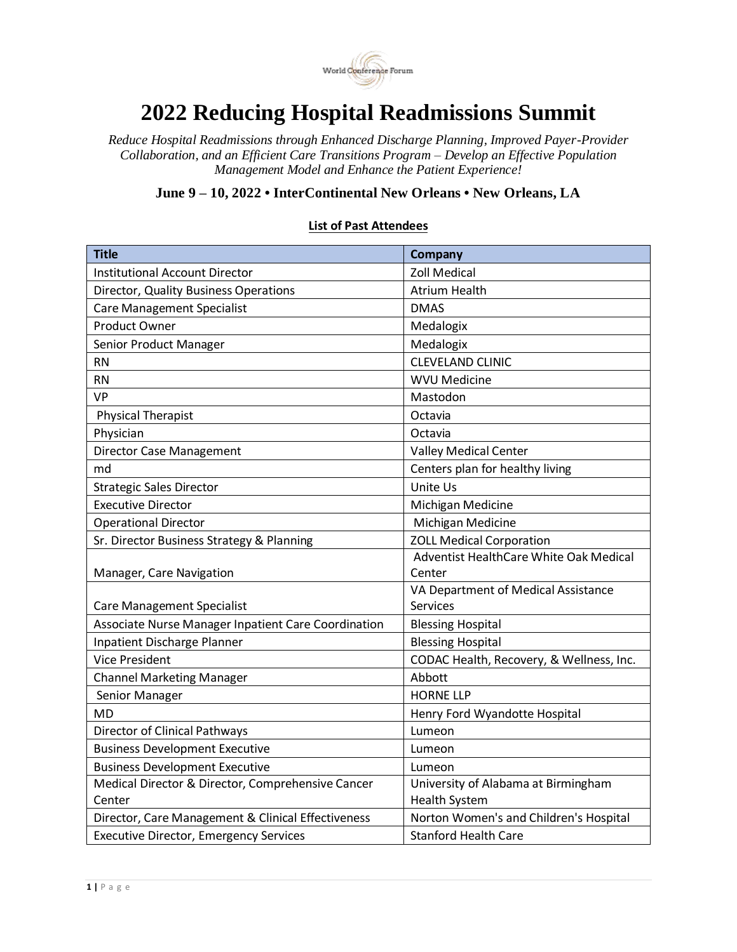

## **2022 Reducing Hospital Readmissions Summit**

*Reduce Hospital Readmissions through Enhanced Discharge Planning, Improved Payer-Provider Collaboration, and an Efficient Care Transitions Program – Develop an Effective Population Management Model and Enhance the Patient Experience!* 

**June 9 – 10, 2022 • InterContinental New Orleans • New Orleans, LA**

## **Title Company** Institutional Account Director **No. 2018** 2011 Medical Director, Quality Business Operations Matrium Health Care Management Specialist **DMAS** Product Owner Medalogix Senior Product Manager Medalogix RN CLEVELAND CLINIC RN WVU Medicine VP Mastodon Physical Therapist **Octavia** Physician and Contact Contact Contact Contact Contact Contact Contact Contact Contact Contact Contact Contact Contact Contact Contact Contact Contact Contact Contact Contact Contact Contact Contact Contact Contact Contact Director Case Management Valley Medical Center md **Centers plan for healthy living**  $\blacksquare$ Strategic Sales Director **Unite Usia Contract Contract Contract Contract Contract Contract Contract Contract Contract Contract Contract Contract Contract Contract Contract Contract Contract Contract Contract Contract Contr** Executive Director **Michigan Medicine** Operational Director Michigan Medicine Sr. Director Business Strategy & Planning and ZOLL Medical Corporation Manager, Care Navigation Adventist HealthCare White Oak Medical Center Care Management Specialist VA Department of Medical Assistance Services Associate Nurse Manager Inpatient Care Coordination | Blessing Hospital Inpatient Discharge Planner Blessing Hospital Vice President **CODAC Health, Recovery, & Wellness, Inc.** Channel Marketing Manager Abbott Senior Manager **HORNE** LLP MD **MD Henry Ford Wyandotte Hospital** Director of Clinical Pathways Lumeon Business Development Executive Lumeon Business Development Executive Lumeon Medical Director & Director, Comprehensive Cancer **Center** University of Alabama at Birmingham Health System Director, Care Management & Clinical Effectiveness | Norton Women's and Children's Hospital Executive Director, Emergency Services Stanford Health Care

## **List of Past Attendees**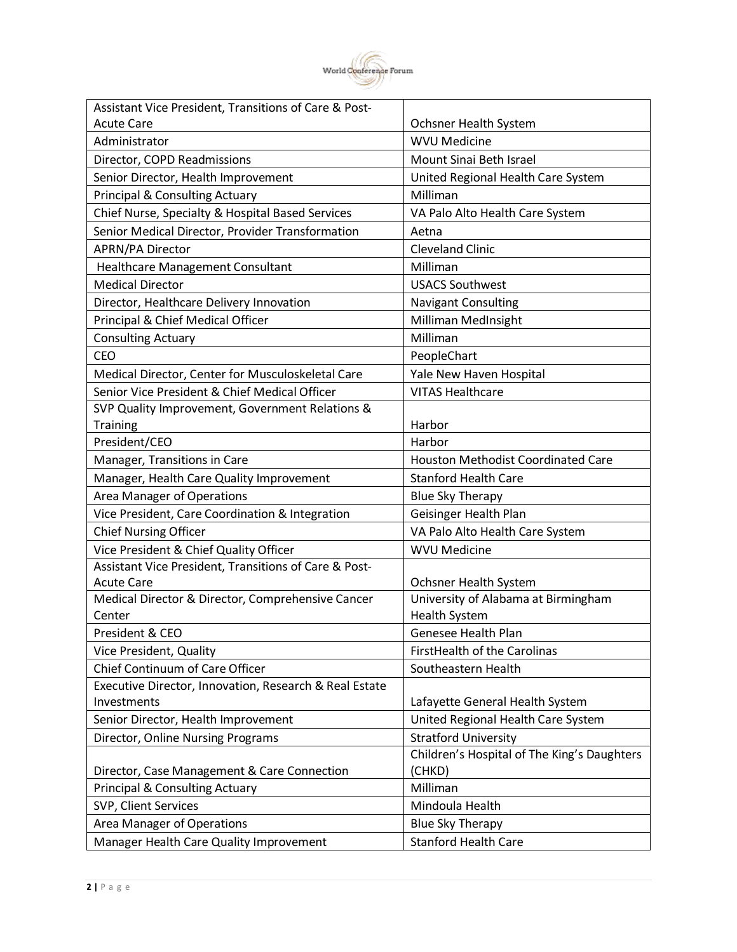

| Assistant Vice President, Transitions of Care & Post-  |                                             |
|--------------------------------------------------------|---------------------------------------------|
| <b>Acute Care</b>                                      | Ochsner Health System                       |
| Administrator                                          | <b>WVU Medicine</b>                         |
| Director, COPD Readmissions                            | Mount Sinai Beth Israel                     |
| Senior Director, Health Improvement                    | United Regional Health Care System          |
| <b>Principal &amp; Consulting Actuary</b>              | Milliman                                    |
| Chief Nurse, Specialty & Hospital Based Services       | VA Palo Alto Health Care System             |
| Senior Medical Director, Provider Transformation       | Aetna                                       |
| APRN/PA Director                                       | <b>Cleveland Clinic</b>                     |
| Healthcare Management Consultant                       | Milliman                                    |
| <b>Medical Director</b>                                | <b>USACS Southwest</b>                      |
| Director, Healthcare Delivery Innovation               | <b>Navigant Consulting</b>                  |
| Principal & Chief Medical Officer                      | Milliman MedInsight                         |
| <b>Consulting Actuary</b>                              | Milliman                                    |
| <b>CEO</b>                                             | PeopleChart                                 |
| Medical Director, Center for Musculoskeletal Care      | Yale New Haven Hospital                     |
| Senior Vice President & Chief Medical Officer          | <b>VITAS Healthcare</b>                     |
| SVP Quality Improvement, Government Relations &        |                                             |
| Training                                               | Harbor                                      |
| President/CEO                                          | Harbor                                      |
| Manager, Transitions in Care                           | <b>Houston Methodist Coordinated Care</b>   |
| Manager, Health Care Quality Improvement               | <b>Stanford Health Care</b>                 |
| Area Manager of Operations                             | <b>Blue Sky Therapy</b>                     |
| Vice President, Care Coordination & Integration        | Geisinger Health Plan                       |
| <b>Chief Nursing Officer</b>                           | VA Palo Alto Health Care System             |
| Vice President & Chief Quality Officer                 | <b>WVU Medicine</b>                         |
| Assistant Vice President, Transitions of Care & Post-  |                                             |
| <b>Acute Care</b>                                      | Ochsner Health System                       |
| Medical Director & Director, Comprehensive Cancer      | University of Alabama at Birmingham         |
| Center                                                 | <b>Health System</b>                        |
| President & CEO                                        | Genesee Health Plan                         |
| Vice President, Quality                                | FirstHealth of the Carolinas                |
| Chief Continuum of Care Officer                        | Southeastern Health                         |
| Executive Director, Innovation, Research & Real Estate |                                             |
| Investments                                            | Lafayette General Health System             |
| Senior Director, Health Improvement                    | United Regional Health Care System          |
| Director, Online Nursing Programs                      | <b>Stratford University</b>                 |
|                                                        | Children's Hospital of The King's Daughters |
| Director, Case Management & Care Connection            | (CHKD)                                      |
| <b>Principal &amp; Consulting Actuary</b>              | Milliman                                    |
| SVP, Client Services                                   | Mindoula Health                             |
| Area Manager of Operations                             | <b>Blue Sky Therapy</b>                     |
| Manager Health Care Quality Improvement                | <b>Stanford Health Care</b>                 |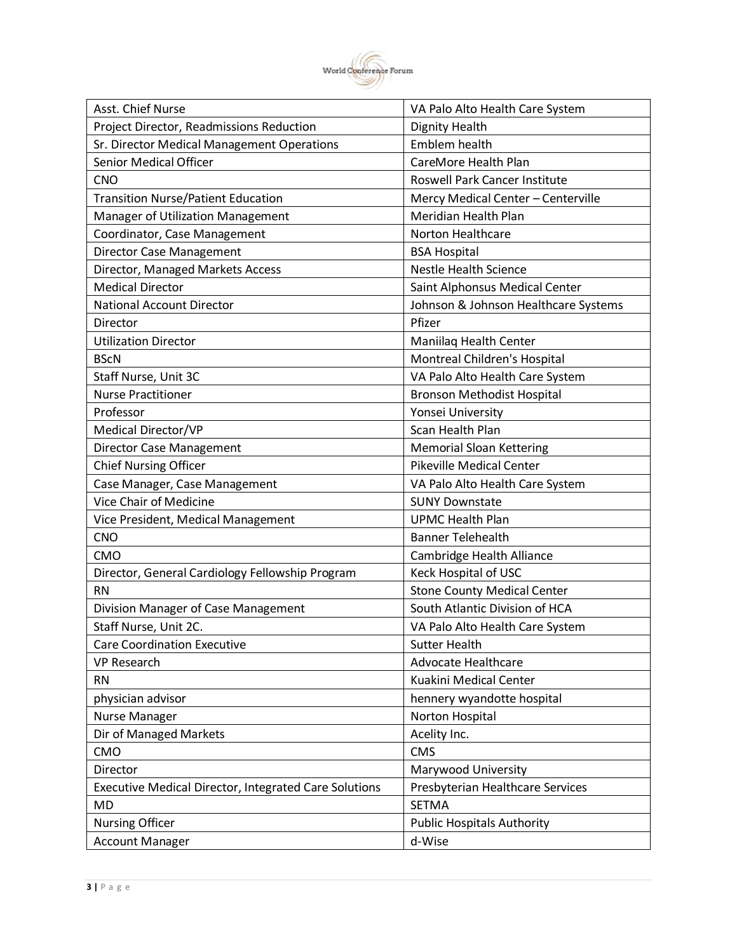

| Project Director, Readmissions Reduction<br><b>Dignity Health</b>                                | Asst. Chief Nurse                          | VA Palo Alto Health Care System |
|--------------------------------------------------------------------------------------------------|--------------------------------------------|---------------------------------|
|                                                                                                  |                                            |                                 |
|                                                                                                  | Sr. Director Medical Management Operations | Emblem health                   |
| <b>Senior Medical Officer</b><br>CareMore Health Plan                                            |                                            |                                 |
| <b>CNO</b><br>Roswell Park Cancer Institute                                                      |                                            |                                 |
| <b>Transition Nurse/Patient Education</b><br>Mercy Medical Center - Centerville                  |                                            |                                 |
| Meridian Health Plan<br>Manager of Utilization Management                                        |                                            |                                 |
| Coordinator, Case Management<br>Norton Healthcare                                                |                                            |                                 |
| Director Case Management<br><b>BSA Hospital</b>                                                  |                                            |                                 |
| Director, Managed Markets Access<br><b>Nestle Health Science</b>                                 |                                            |                                 |
| <b>Medical Director</b><br>Saint Alphonsus Medical Center                                        |                                            |                                 |
| <b>National Account Director</b><br>Johnson & Johnson Healthcare Systems                         |                                            |                                 |
| Pfizer<br>Director                                                                               |                                            |                                 |
| <b>Utilization Director</b><br>Maniilaq Health Center                                            |                                            |                                 |
| Montreal Children's Hospital<br><b>BScN</b>                                                      |                                            |                                 |
| VA Palo Alto Health Care System<br>Staff Nurse, Unit 3C                                          |                                            |                                 |
| <b>Nurse Practitioner</b><br><b>Bronson Methodist Hospital</b>                                   |                                            |                                 |
| Professor<br>Yonsei University                                                                   |                                            |                                 |
| Medical Director/VP<br>Scan Health Plan                                                          |                                            |                                 |
| <b>Director Case Management</b><br><b>Memorial Sloan Kettering</b>                               |                                            |                                 |
| <b>Chief Nursing Officer</b><br><b>Pikeville Medical Center</b>                                  |                                            |                                 |
| Case Manager, Case Management<br>VA Palo Alto Health Care System                                 |                                            |                                 |
| Vice Chair of Medicine<br><b>SUNY Downstate</b>                                                  |                                            |                                 |
| <b>UPMC Health Plan</b><br>Vice President, Medical Management                                    |                                            |                                 |
| <b>CNO</b><br><b>Banner Telehealth</b>                                                           |                                            |                                 |
| Cambridge Health Alliance<br><b>CMO</b>                                                          |                                            |                                 |
| Keck Hospital of USC<br>Director, General Cardiology Fellowship Program                          |                                            |                                 |
| <b>RN</b><br><b>Stone County Medical Center</b>                                                  |                                            |                                 |
| South Atlantic Division of HCA<br>Division Manager of Case Management                            |                                            |                                 |
| Staff Nurse, Unit 2C.<br>VA Palo Alto Health Care System                                         |                                            |                                 |
| <b>Care Coordination Executive</b><br><b>Sutter Health</b>                                       |                                            |                                 |
| <b>VP Research</b><br><b>Advocate Healthcare</b>                                                 |                                            |                                 |
| Kuakini Medical Center<br><b>RN</b>                                                              |                                            |                                 |
| physician advisor<br>hennery wyandotte hospital                                                  |                                            |                                 |
| Norton Hospital<br><b>Nurse Manager</b>                                                          |                                            |                                 |
| Dir of Managed Markets<br>Acelity Inc.                                                           |                                            |                                 |
| CMO<br><b>CMS</b>                                                                                |                                            |                                 |
| Director<br>Marywood University                                                                  |                                            |                                 |
| <b>Executive Medical Director, Integrated Care Solutions</b><br>Presbyterian Healthcare Services |                                            |                                 |
| <b>SETMA</b><br><b>MD</b>                                                                        |                                            |                                 |
| <b>Nursing Officer</b><br><b>Public Hospitals Authority</b>                                      |                                            |                                 |
| d-Wise<br><b>Account Manager</b>                                                                 |                                            |                                 |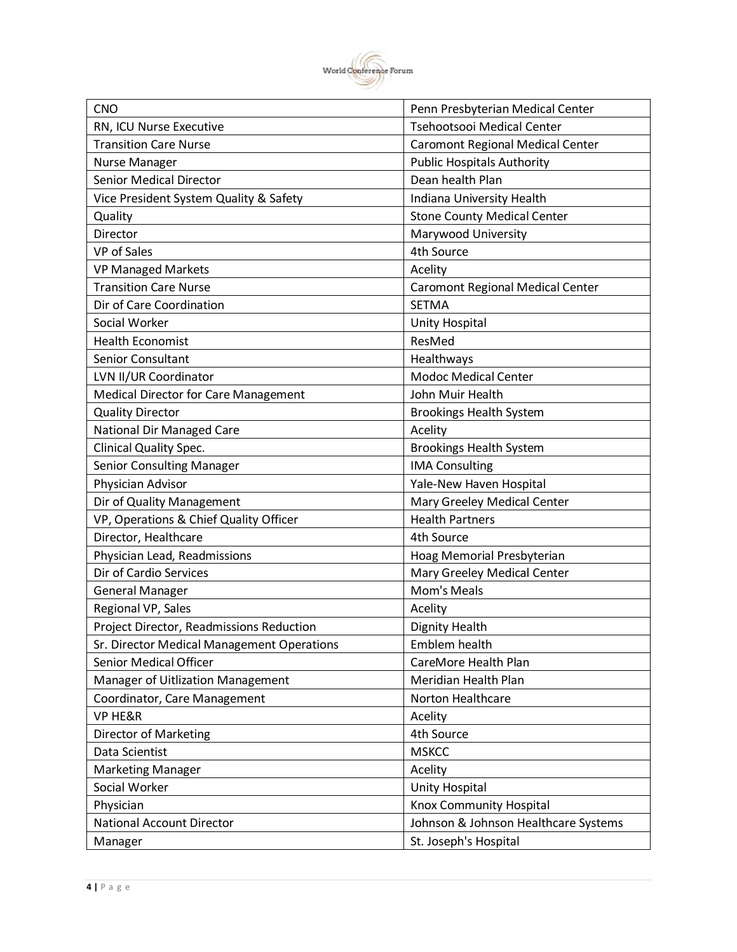

| <b>CNO</b>                                  | Penn Presbyterian Medical Center        |
|---------------------------------------------|-----------------------------------------|
| RN, ICU Nurse Executive                     | Tsehootsooi Medical Center              |
| <b>Transition Care Nurse</b>                | <b>Caromont Regional Medical Center</b> |
| <b>Nurse Manager</b>                        | <b>Public Hospitals Authority</b>       |
| <b>Senior Medical Director</b>              | Dean health Plan                        |
| Vice President System Quality & Safety      | Indiana University Health               |
| Quality                                     | <b>Stone County Medical Center</b>      |
| Director                                    | Marywood University                     |
| <b>VP</b> of Sales                          | 4th Source                              |
| <b>VP Managed Markets</b>                   | Acelity                                 |
| <b>Transition Care Nurse</b>                | <b>Caromont Regional Medical Center</b> |
| Dir of Care Coordination                    | <b>SETMA</b>                            |
| Social Worker                               | Unity Hospital                          |
| <b>Health Economist</b>                     | ResMed                                  |
| <b>Senior Consultant</b>                    | Healthways                              |
| LVN II/UR Coordinator                       | <b>Modoc Medical Center</b>             |
| <b>Medical Director for Care Management</b> | John Muir Health                        |
| <b>Quality Director</b>                     | <b>Brookings Health System</b>          |
| <b>National Dir Managed Care</b>            | Acelity                                 |
| <b>Clinical Quality Spec.</b>               | <b>Brookings Health System</b>          |
| <b>Senior Consulting Manager</b>            | <b>IMA Consulting</b>                   |
| Physician Advisor                           | Yale-New Haven Hospital                 |
| Dir of Quality Management                   | Mary Greeley Medical Center             |
| VP, Operations & Chief Quality Officer      | <b>Health Partners</b>                  |
| Director, Healthcare                        | 4th Source                              |
| Physician Lead, Readmissions                | Hoag Memorial Presbyterian              |
| Dir of Cardio Services                      | Mary Greeley Medical Center             |
| <b>General Manager</b>                      | Mom's Meals                             |
| Regional VP, Sales                          | Acelity                                 |
| Project Director, Readmissions Reduction    | <b>Dignity Health</b>                   |
| Sr. Director Medical Management Operations  | Emblem health                           |
| Senior Medical Officer                      | CareMore Health Plan                    |
| Manager of Uitlization Management           | Meridian Health Plan                    |
| Coordinator, Care Management                | Norton Healthcare                       |
| <b>VP HE&amp;R</b>                          | Acelity                                 |
| Director of Marketing                       | 4th Source                              |
| Data Scientist                              | <b>MSKCC</b>                            |
| <b>Marketing Manager</b>                    | Acelity                                 |
| Social Worker                               | Unity Hospital                          |
| Physician                                   | Knox Community Hospital                 |
| <b>National Account Director</b>            | Johnson & Johnson Healthcare Systems    |
| Manager                                     | St. Joseph's Hospital                   |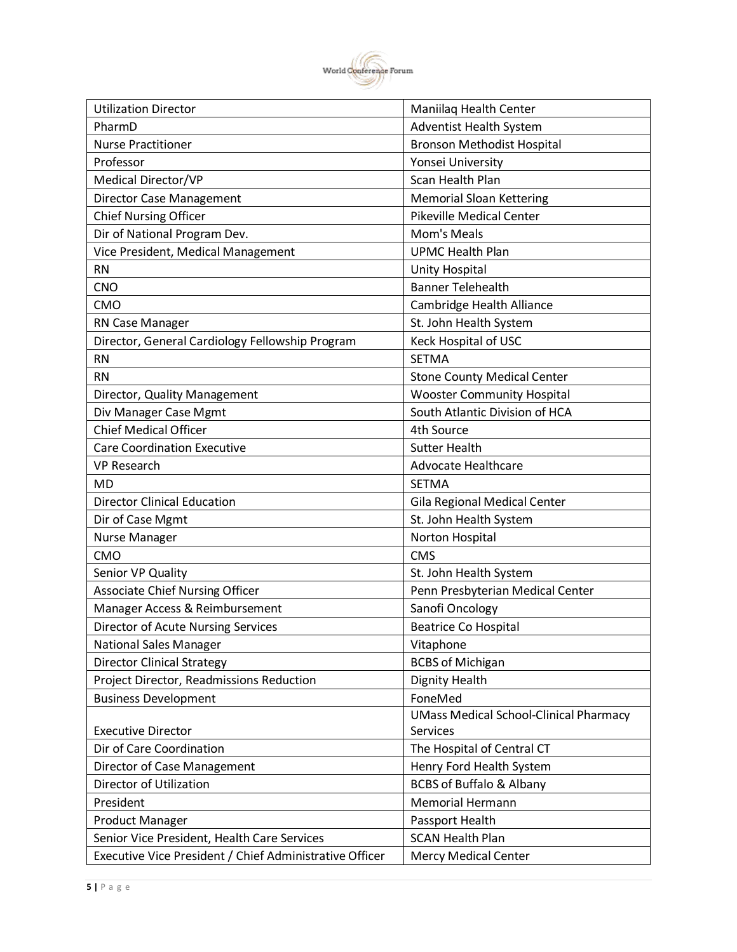

| <b>Utilization Director</b>                             | Maniilag Health Center                        |
|---------------------------------------------------------|-----------------------------------------------|
| PharmD                                                  | <b>Adventist Health System</b>                |
| <b>Nurse Practitioner</b>                               | <b>Bronson Methodist Hospital</b>             |
| Professor                                               | Yonsei University                             |
| Medical Director/VP                                     | Scan Health Plan                              |
| <b>Director Case Management</b>                         | <b>Memorial Sloan Kettering</b>               |
| <b>Chief Nursing Officer</b>                            | <b>Pikeville Medical Center</b>               |
| Dir of National Program Dev.                            | Mom's Meals                                   |
| Vice President, Medical Management                      | <b>UPMC Health Plan</b>                       |
| <b>RN</b>                                               | Unity Hospital                                |
| <b>CNO</b>                                              | <b>Banner Telehealth</b>                      |
| <b>CMO</b>                                              | Cambridge Health Alliance                     |
| RN Case Manager                                         | St. John Health System                        |
| Director, General Cardiology Fellowship Program         | Keck Hospital of USC                          |
| <b>RN</b>                                               | <b>SETMA</b>                                  |
| <b>RN</b>                                               | <b>Stone County Medical Center</b>            |
| Director, Quality Management                            | <b>Wooster Community Hospital</b>             |
| Div Manager Case Mgmt                                   | South Atlantic Division of HCA                |
| <b>Chief Medical Officer</b>                            | 4th Source                                    |
| <b>Care Coordination Executive</b>                      | <b>Sutter Health</b>                          |
| <b>VP Research</b>                                      | <b>Advocate Healthcare</b>                    |
| MD                                                      | <b>SETMA</b>                                  |
| <b>Director Clinical Education</b>                      | Gila Regional Medical Center                  |
| Dir of Case Mgmt                                        | St. John Health System                        |
| <b>Nurse Manager</b>                                    | Norton Hospital                               |
| <b>CMO</b>                                              | <b>CMS</b>                                    |
| Senior VP Quality                                       | St. John Health System                        |
| <b>Associate Chief Nursing Officer</b>                  | Penn Presbyterian Medical Center              |
| Manager Access & Reimbursement                          | Sanofi Oncology                               |
| Director of Acute Nursing Services                      | <b>Beatrice Co Hospital</b>                   |
| <b>National Sales Manager</b>                           | Vitaphone                                     |
| <b>Director Clinical Strategy</b>                       | <b>BCBS of Michigan</b>                       |
| Project Director, Readmissions Reduction                | <b>Dignity Health</b>                         |
| <b>Business Development</b>                             | FoneMed                                       |
|                                                         | <b>UMass Medical School-Clinical Pharmacy</b> |
| <b>Executive Director</b>                               | Services                                      |
| Dir of Care Coordination                                | The Hospital of Central CT                    |
| Director of Case Management                             | Henry Ford Health System                      |
| Director of Utilization                                 | <b>BCBS of Buffalo &amp; Albany</b>           |
| President                                               | Memorial Hermann                              |
| <b>Product Manager</b>                                  | Passport Health                               |
| Senior Vice President, Health Care Services             | <b>SCAN Health Plan</b>                       |
| Executive Vice President / Chief Administrative Officer | <b>Mercy Medical Center</b>                   |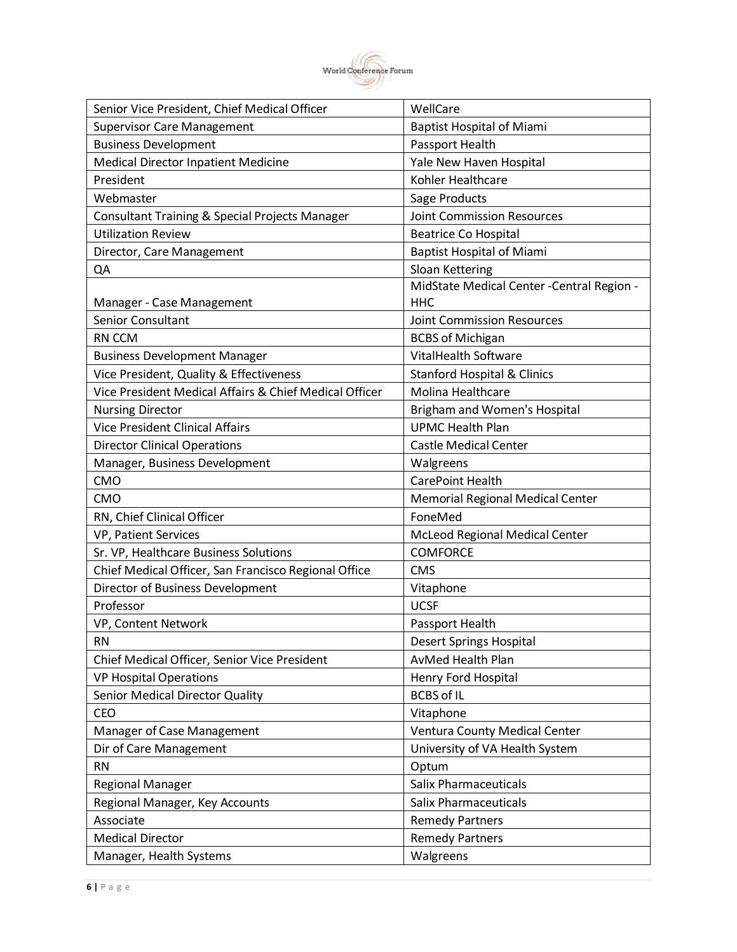

| Senior Vice President, Chief Medical Officer           | WellCare                                   |
|--------------------------------------------------------|--------------------------------------------|
| <b>Supervisor Care Management</b>                      | <b>Baptist Hospital of Miami</b>           |
| <b>Business Development</b>                            | Passport Health                            |
| <b>Medical Director Inpatient Medicine</b>             | Yale New Haven Hospital                    |
| President                                              | Kohler Healthcare                          |
| Webmaster                                              | Sage Products                              |
| Consultant Training & Special Projects Manager         | <b>Joint Commission Resources</b>          |
| <b>Utilization Review</b>                              | <b>Beatrice Co Hospital</b>                |
| Director, Care Management                              | <b>Baptist Hospital of Miami</b>           |
| QA                                                     | Sloan Kettering                            |
|                                                        | MidState Medical Center - Central Region - |
| Manager - Case Management                              | <b>HHC</b>                                 |
| Senior Consultant                                      | <b>Joint Commission Resources</b>          |
| RN CCM                                                 | <b>BCBS of Michigan</b>                    |
| <b>Business Development Manager</b>                    | <b>VitalHealth Software</b>                |
| Vice President, Quality & Effectiveness                | <b>Stanford Hospital &amp; Clinics</b>     |
| Vice President Medical Affairs & Chief Medical Officer | Molina Healthcare                          |
| <b>Nursing Director</b>                                | Brigham and Women's Hospital               |
| <b>Vice President Clinical Affairs</b>                 | <b>UPMC Health Plan</b>                    |
| <b>Director Clinical Operations</b>                    | <b>Castle Medical Center</b>               |
| Manager, Business Development                          | Walgreens                                  |
| CMO                                                    | CarePoint Health                           |
| <b>CMO</b>                                             | Memorial Regional Medical Center           |
| RN, Chief Clinical Officer                             | FoneMed                                    |
| <b>VP, Patient Services</b>                            | McLeod Regional Medical Center             |
| Sr. VP, Healthcare Business Solutions                  | <b>COMFORCE</b>                            |
| Chief Medical Officer, San Francisco Regional Office   | <b>CMS</b>                                 |
| Director of Business Development                       | Vitaphone                                  |
| Professor                                              | <b>UCSF</b>                                |
| VP, Content Network                                    | Passport Health                            |
| RN                                                     | Desert Springs Hospital                    |
| Chief Medical Officer, Senior Vice President           | AvMed Health Plan                          |
| <b>VP Hospital Operations</b>                          | Henry Ford Hospital                        |
| Senior Medical Director Quality                        | <b>BCBS of IL</b>                          |
| CEO                                                    | Vitaphone                                  |
| Manager of Case Management                             | Ventura County Medical Center              |
| Dir of Care Management                                 | University of VA Health System             |
| <b>RN</b>                                              | Optum                                      |
| <b>Regional Manager</b>                                | <b>Salix Pharmaceuticals</b>               |
| Regional Manager, Key Accounts                         | <b>Salix Pharmaceuticals</b>               |
| Associate                                              | <b>Remedy Partners</b>                     |
| <b>Medical Director</b>                                | <b>Remedy Partners</b>                     |
| Manager, Health Systems                                | Walgreens                                  |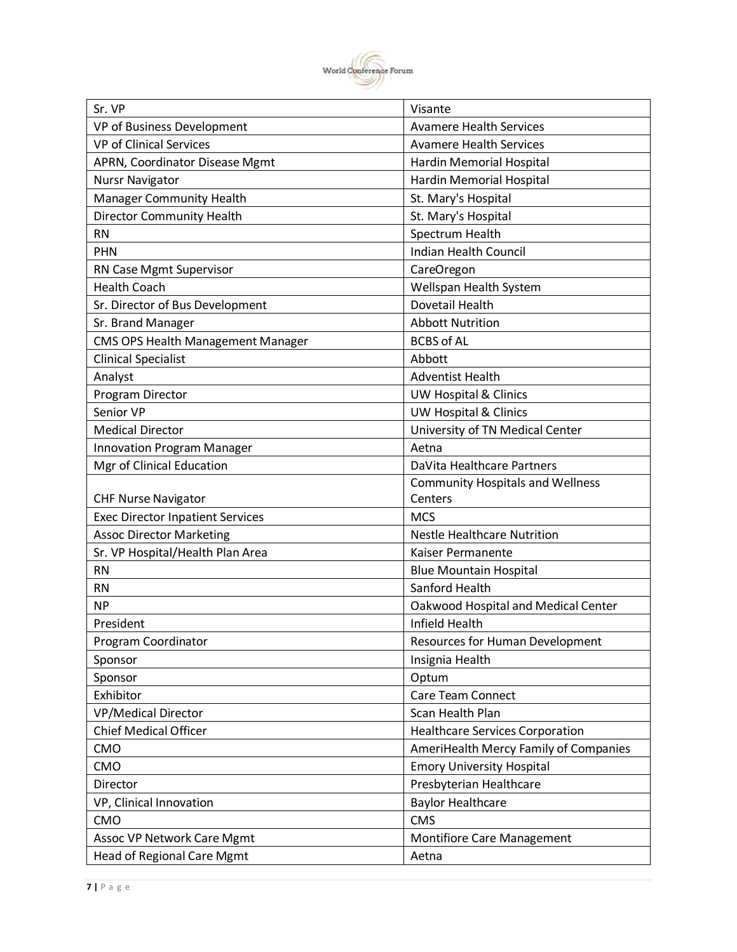

| Sr. VP                                   | Visante                                 |
|------------------------------------------|-----------------------------------------|
| VP of Business Development               | <b>Avamere Health Services</b>          |
| <b>VP of Clinical Services</b>           | <b>Avamere Health Services</b>          |
| APRN, Coordinator Disease Mgmt           | <b>Hardin Memorial Hospital</b>         |
| <b>Nursr Navigator</b>                   | <b>Hardin Memorial Hospital</b>         |
| <b>Manager Community Health</b>          | St. Mary's Hospital                     |
| <b>Director Community Health</b>         | St. Mary's Hospital                     |
| <b>RN</b>                                | Spectrum Health                         |
| <b>PHN</b>                               | <b>Indian Health Council</b>            |
| RN Case Mgmt Supervisor                  | CareOregon                              |
| <b>Health Coach</b>                      | Wellspan Health System                  |
| Sr. Director of Bus Development          | Dovetail Health                         |
| Sr. Brand Manager                        | <b>Abbott Nutrition</b>                 |
| <b>CMS OPS Health Management Manager</b> | <b>BCBS of AL</b>                       |
| <b>Clinical Specialist</b>               | Abbott                                  |
| Analyst                                  | <b>Adventist Health</b>                 |
| Program Director                         | <b>UW Hospital &amp; Clinics</b>        |
| Senior VP                                | <b>UW Hospital &amp; Clinics</b>        |
| <b>Medical Director</b>                  | University of TN Medical Center         |
| <b>Innovation Program Manager</b>        | Aetna                                   |
| Mgr of Clinical Education                | DaVita Healthcare Partners              |
|                                          | <b>Community Hospitals and Wellness</b> |
| <b>CHF Nurse Navigator</b>               | Centers                                 |
| <b>Exec Director Inpatient Services</b>  | <b>MCS</b>                              |
| <b>Assoc Director Marketing</b>          | <b>Nestle Healthcare Nutrition</b>      |
| Sr. VP Hospital/Health Plan Area         | Kaiser Permanente                       |
| <b>RN</b>                                | <b>Blue Mountain Hospital</b>           |
| <b>RN</b>                                | Sanford Health                          |
| <b>NP</b>                                | Oakwood Hospital and Medical Center     |
| President                                | Infield Health                          |
| Program Coordinator                      | Resources for Human Development         |
| Sponsor                                  | Insignia Health                         |
| Sponsor                                  | Optum                                   |
| Exhibitor                                | <b>Care Team Connect</b>                |
| <b>VP/Medical Director</b>               | Scan Health Plan                        |
| <b>Chief Medical Officer</b>             | <b>Healthcare Services Corporation</b>  |
| CMO                                      | AmeriHealth Mercy Family of Companies   |
| CMO                                      | <b>Emory University Hospital</b>        |
| Director                                 | Presbyterian Healthcare                 |
| VP, Clinical Innovation                  | <b>Baylor Healthcare</b>                |
| CMO                                      | <b>CMS</b>                              |
| <b>Assoc VP Network Care Mgmt</b>        | <b>Montifiore Care Management</b>       |
| Head of Regional Care Mgmt               | Aetna                                   |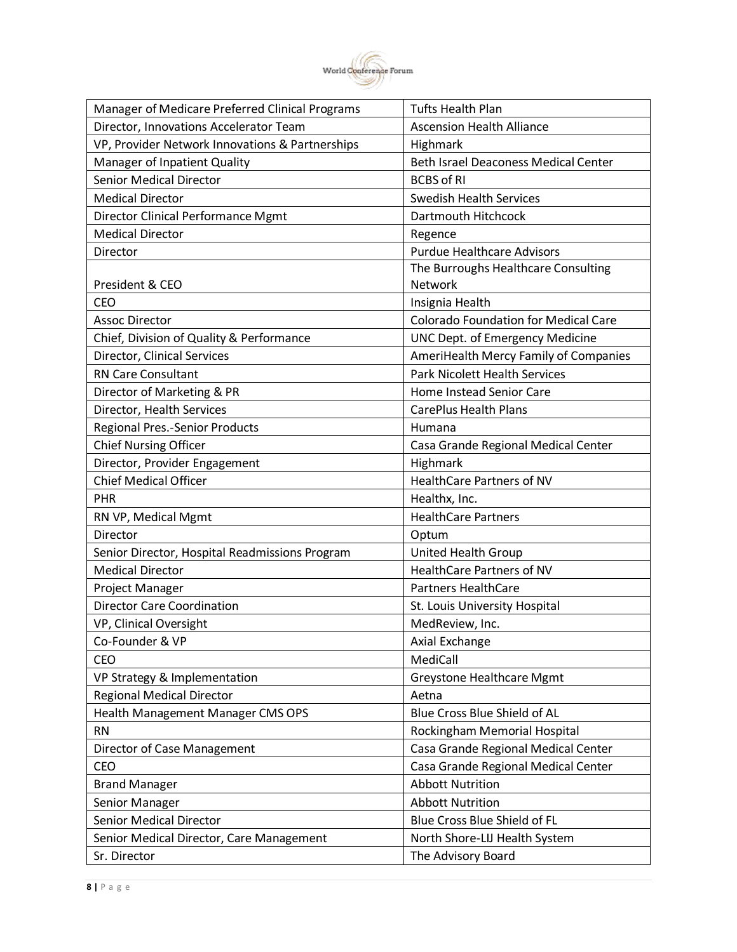

| Manager of Medicare Preferred Clinical Programs | <b>Tufts Health Plan</b>                    |
|-------------------------------------------------|---------------------------------------------|
| Director, Innovations Accelerator Team          | <b>Ascension Health Alliance</b>            |
| VP, Provider Network Innovations & Partnerships | Highmark                                    |
| Manager of Inpatient Quality                    | <b>Beth Israel Deaconess Medical Center</b> |
| <b>Senior Medical Director</b>                  | <b>BCBS of RI</b>                           |
| <b>Medical Director</b>                         | <b>Swedish Health Services</b>              |
| Director Clinical Performance Mgmt              | Dartmouth Hitchcock                         |
| <b>Medical Director</b>                         | Regence                                     |
| Director                                        | <b>Purdue Healthcare Advisors</b>           |
|                                                 | The Burroughs Healthcare Consulting         |
| President & CEO                                 | <b>Network</b>                              |
| <b>CEO</b>                                      | Insignia Health                             |
| <b>Assoc Director</b>                           | <b>Colorado Foundation for Medical Care</b> |
| Chief, Division of Quality & Performance        | <b>UNC Dept. of Emergency Medicine</b>      |
| Director, Clinical Services                     | AmeriHealth Mercy Family of Companies       |
| <b>RN Care Consultant</b>                       | <b>Park Nicolett Health Services</b>        |
| Director of Marketing & PR                      | Home Instead Senior Care                    |
| Director, Health Services                       | <b>CarePlus Health Plans</b>                |
| <b>Regional Pres.-Senior Products</b>           | Humana                                      |
| <b>Chief Nursing Officer</b>                    | Casa Grande Regional Medical Center         |
| Director, Provider Engagement                   | Highmark                                    |
| <b>Chief Medical Officer</b>                    | HealthCare Partners of NV                   |
| <b>PHR</b>                                      | Healthx, Inc.                               |
| RN VP, Medical Mgmt                             | <b>HealthCare Partners</b>                  |
| Director                                        | Optum                                       |
| Senior Director, Hospital Readmissions Program  | United Health Group                         |
| <b>Medical Director</b>                         | <b>HealthCare Partners of NV</b>            |
| Project Manager                                 | <b>Partners HealthCare</b>                  |
| <b>Director Care Coordination</b>               | St. Louis University Hospital               |
| VP, Clinical Oversight                          | MedReview, Inc.                             |
| Co-Founder & VP                                 | Axial Exchange                              |
| <b>CEO</b>                                      | MediCall                                    |
| VP Strategy & Implementation                    | Greystone Healthcare Mgmt                   |
| <b>Regional Medical Director</b>                | Aetna                                       |
| Health Management Manager CMS OPS               | Blue Cross Blue Shield of AL                |
| <b>RN</b>                                       | Rockingham Memorial Hospital                |
| Director of Case Management                     | Casa Grande Regional Medical Center         |
| CEO                                             | Casa Grande Regional Medical Center         |
| <b>Brand Manager</b>                            | <b>Abbott Nutrition</b>                     |
| Senior Manager                                  | <b>Abbott Nutrition</b>                     |
| Senior Medical Director                         | Blue Cross Blue Shield of FL                |
| Senior Medical Director, Care Management        | North Shore-LIJ Health System               |
| Sr. Director                                    | The Advisory Board                          |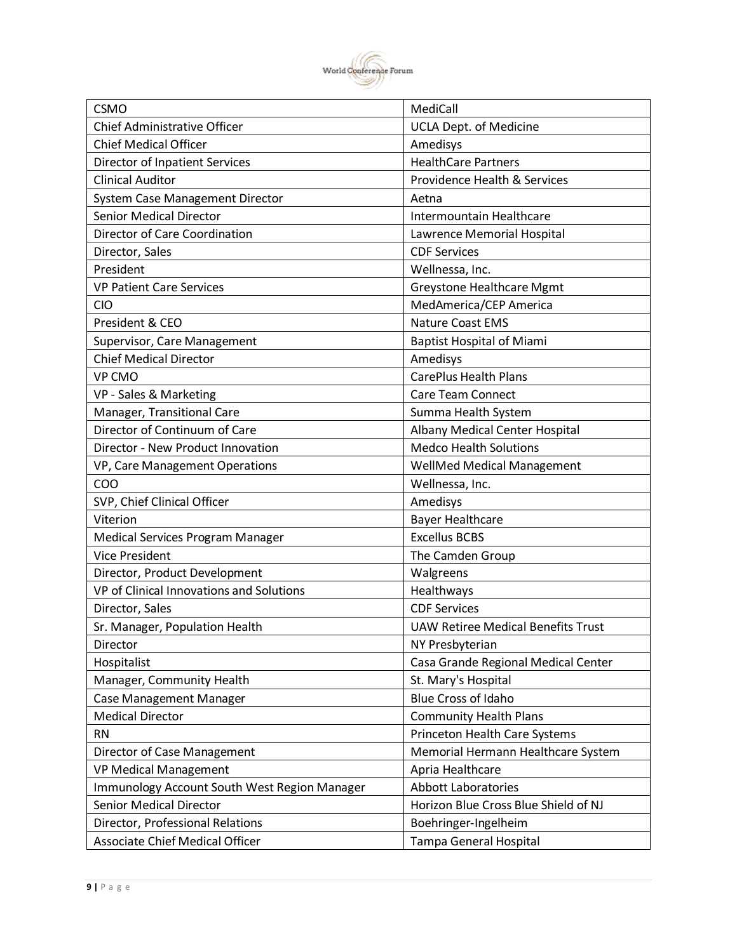

| <b>CSMO</b>                                  | MediCall                                  |
|----------------------------------------------|-------------------------------------------|
| <b>Chief Administrative Officer</b>          | <b>UCLA Dept. of Medicine</b>             |
| <b>Chief Medical Officer</b>                 | Amedisys                                  |
| <b>Director of Inpatient Services</b>        | <b>HealthCare Partners</b>                |
| <b>Clinical Auditor</b>                      | <b>Providence Health &amp; Services</b>   |
| System Case Management Director              | Aetna                                     |
| <b>Senior Medical Director</b>               | Intermountain Healthcare                  |
| Director of Care Coordination                | Lawrence Memorial Hospital                |
| Director, Sales                              | <b>CDF Services</b>                       |
| President                                    | Wellnessa, Inc.                           |
| <b>VP Patient Care Services</b>              | Greystone Healthcare Mgmt                 |
| <b>CIO</b>                                   | MedAmerica/CEP America                    |
| President & CEO                              | <b>Nature Coast EMS</b>                   |
| Supervisor, Care Management                  | <b>Baptist Hospital of Miami</b>          |
| <b>Chief Medical Director</b>                | Amedisys                                  |
| VP CMO                                       | <b>CarePlus Health Plans</b>              |
| VP - Sales & Marketing                       | <b>Care Team Connect</b>                  |
| Manager, Transitional Care                   | Summa Health System                       |
| Director of Continuum of Care                | Albany Medical Center Hospital            |
| Director - New Product Innovation            | <b>Medco Health Solutions</b>             |
| VP, Care Management Operations               | WellMed Medical Management                |
| COO                                          | Wellnessa, Inc.                           |
| SVP, Chief Clinical Officer                  | Amedisys                                  |
| Viterion                                     | <b>Bayer Healthcare</b>                   |
| Medical Services Program Manager             | <b>Excellus BCBS</b>                      |
| <b>Vice President</b>                        | The Camden Group                          |
| Director, Product Development                | Walgreens                                 |
| VP of Clinical Innovations and Solutions     | Healthways                                |
| Director, Sales                              | <b>CDF Services</b>                       |
| Sr. Manager, Population Health               | <b>UAW Retiree Medical Benefits Trust</b> |
| Director                                     | NY Presbyterian                           |
| Hospitalist                                  | Casa Grande Regional Medical Center       |
| Manager, Community Health                    | St. Mary's Hospital                       |
| Case Management Manager                      | <b>Blue Cross of Idaho</b>                |
| <b>Medical Director</b>                      | <b>Community Health Plans</b>             |
| <b>RN</b>                                    | Princeton Health Care Systems             |
| Director of Case Management                  | Memorial Hermann Healthcare System        |
| <b>VP Medical Management</b>                 | Apria Healthcare                          |
| Immunology Account South West Region Manager | <b>Abbott Laboratories</b>                |
| Senior Medical Director                      | Horizon Blue Cross Blue Shield of NJ      |
| Director, Professional Relations             | Boehringer-Ingelheim                      |
| <b>Associate Chief Medical Officer</b>       | Tampa General Hospital                    |